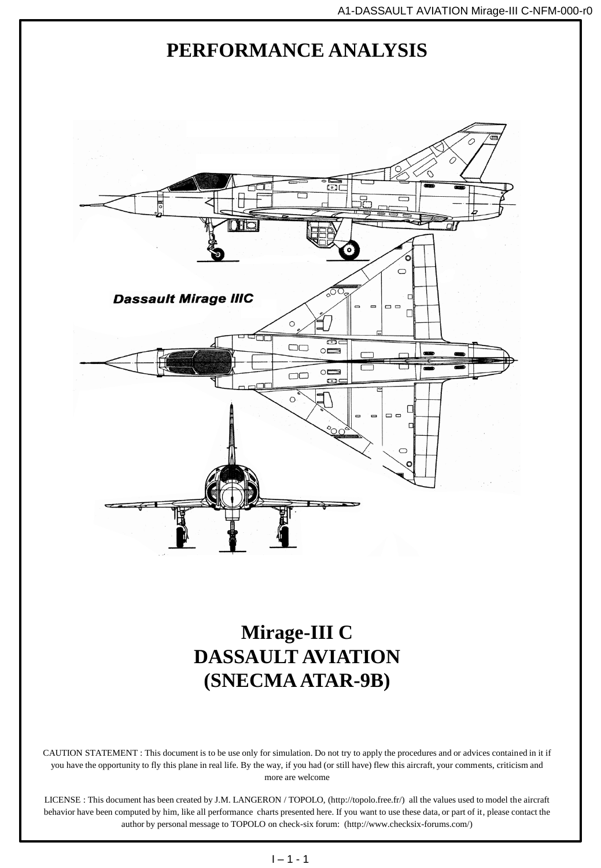

CAUTION STATEMENT : This document is to be use only for simulation. Do not try to apply the procedures and or advices contained in it if you have the opportunity to fly this plane in real life. By the way, if you had (or still have) flew this aircraft, your comments, criticism and more are welcome

LICENSE : This document has been created by J.M. LANGERON / TOPOLO, (http://topolo.free.fr/) all the values used to model the aircraft behavior have been computed by him, like all performance charts presented here. If you want to use these data, or part of it, please contact the author by personal message to TOPOLO on check-six forum: (http://www.checksix-forums.com/)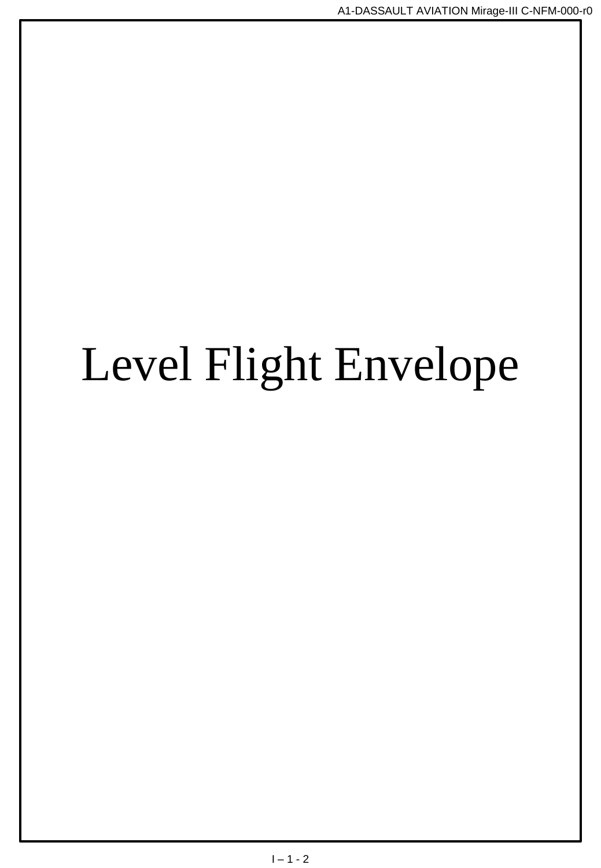# Level Flight Envelope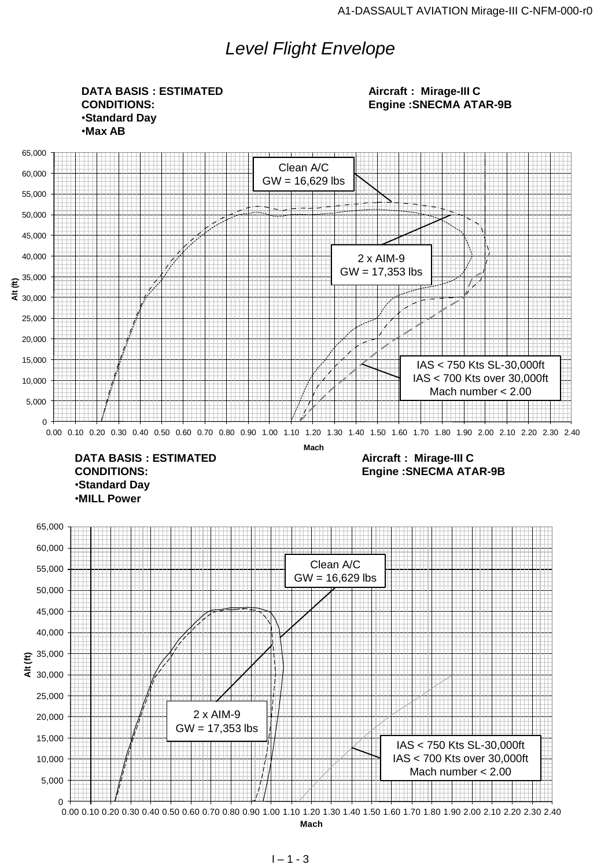## *Level Flight Envelope*

0 5,000 10,000 15,000 20,000 25,000 30,000 35,000 40,000 45,000 50,000 55,000 60,000 65,000  $\frac{25,000}{25,000}$ <br>  $25,000$ <br>  $25,000$ <br>  $25,000$ <br>  $6,000$ <br>  $16,000$ <br>  $1600$ <br>  $5,000$ <br>  $0,000,10,020,030,40,0.50,060,070,0.80,0.90,1.00,1.20,1.30,1.40,1.50,1.60,1.70,1.80,1.90,2.00,2.10,2.20,2.30,2.40$ <br>  $0,000,10,020,0.30$ **Mach** 0 5,000 10,000 15,000 20,000 25,000 30,000 35,000 40,000 45,000 50,000 55,000 60,000 65,000 0.00 0.10 0.20 0.30 0.40 0.50 0.60 0.70 0.80 0.90 1.00 1.10 1.20 1.30 1.40 1.50 1.60 1.70 1.80 1.90 2.00 2.10 2.20 2.30 2.40 **Alt (ft) Mach DATA BASIS : ESTIMATED CONDITIONS:** •**Standard Day** •**Max AB Aircraft : Mirage-III C Engine :SNECMA ATAR-9B DATA BASIS : ESTIMATED CONDITIONS:** •**Standard Day** •**MILL Power Aircraft : Mirage-III C Engine :SNECMA ATAR-9B** Clean A/C GW = 16,629 lbs 2 x AIM-9 GW = 17,353 lbs IAS < 750 Kts SL-30,000ft IAS < 700 Kts over 30,000ft Mach number < 2.00 Clean A/C GW = 16,629 lbs 2 x AIM-9  $GW = 17,353$  lbs IAS < 750 Kts SL-30,000ft IAS < 700 Kts over 30,000ft Mach number < 2.00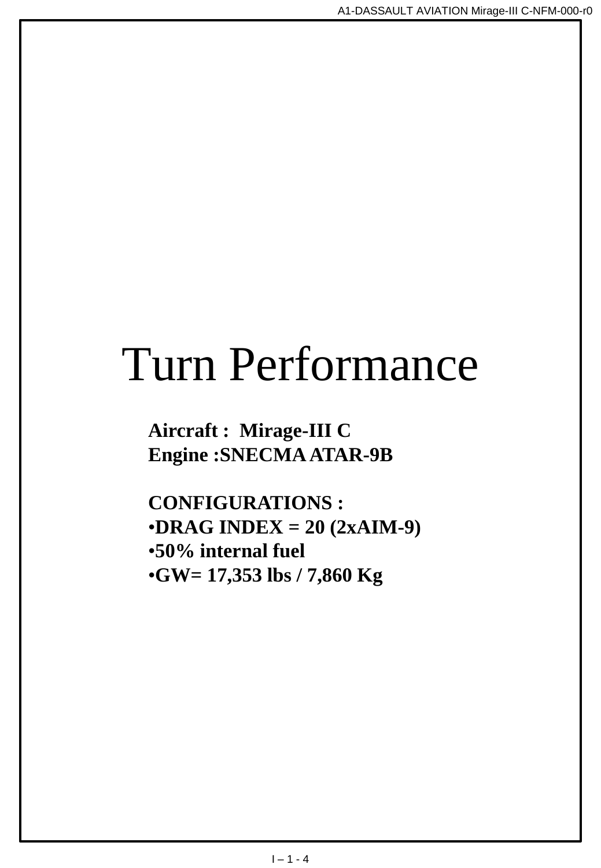## Turn Performance

**Aircraft : Mirage-III C Engine :SNECMA ATAR-9B**

**CONFIGURATIONS :** •**DRAG INDEX = 20 (2xAIM-9)** •**50% internal fuel** •**GW= 17,353 lbs / 7,860 Kg**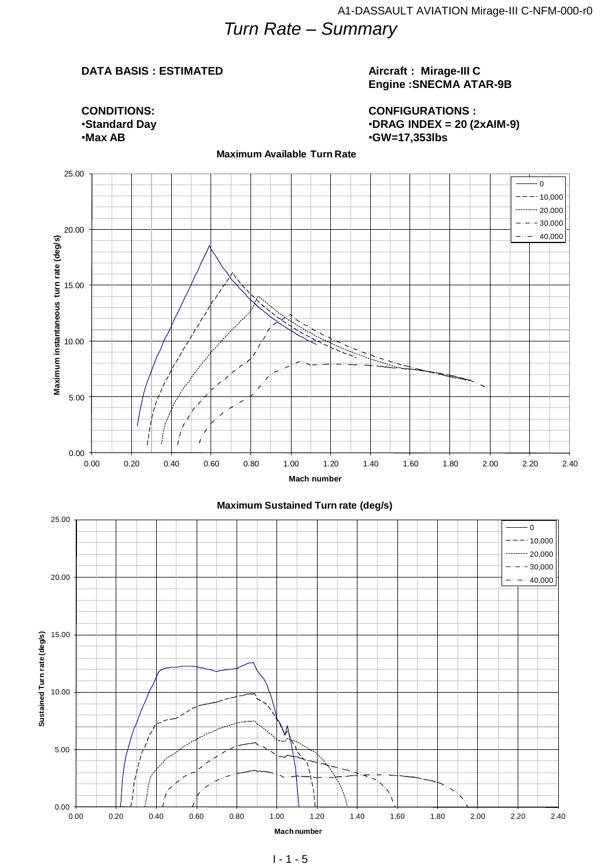## *Turn Rate – Summary*

#### **DATA BASIS : ESTIMATED**

#### **Aircraft : Mirage-III C Engine :SNECMA ATAR-9B**

**CONFIGURATIONS :** •**DRAG INDEX = 20 (2xAIM-9)** •**GW=17,353lbs**

**CONDITIONS:** •**Standard Day** •**Max AB**

#### **Maximum Available Turn Rate**

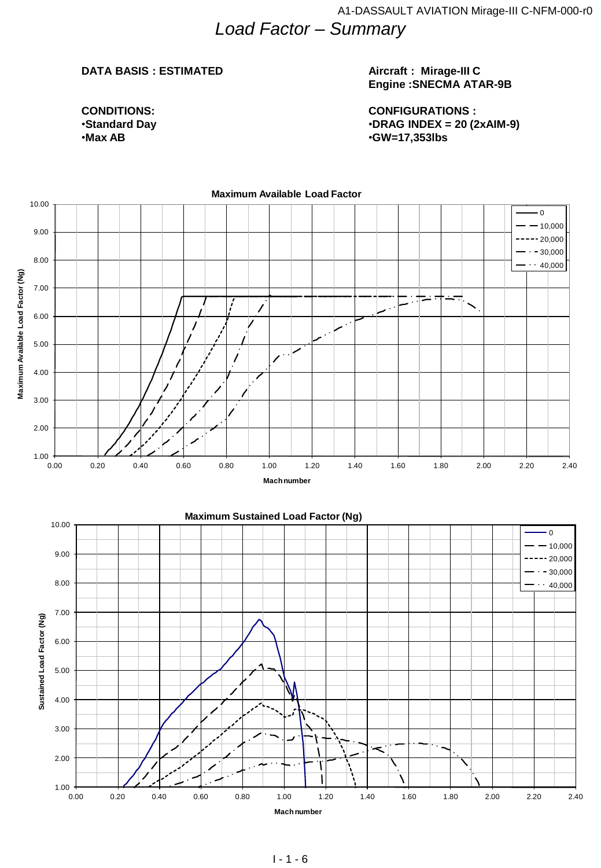#### **DATA BASIS : ESTIMATED**

**CONDITIONS:** •**Standard Day** •**Max AB**

#### **Aircraft : Mirage-III C Engine :SNECMA ATAR-9B**

**CONFIGURATIONS :** •**DRAG INDEX = 20 (2xAIM-9)** •**GW=17,353lbs**

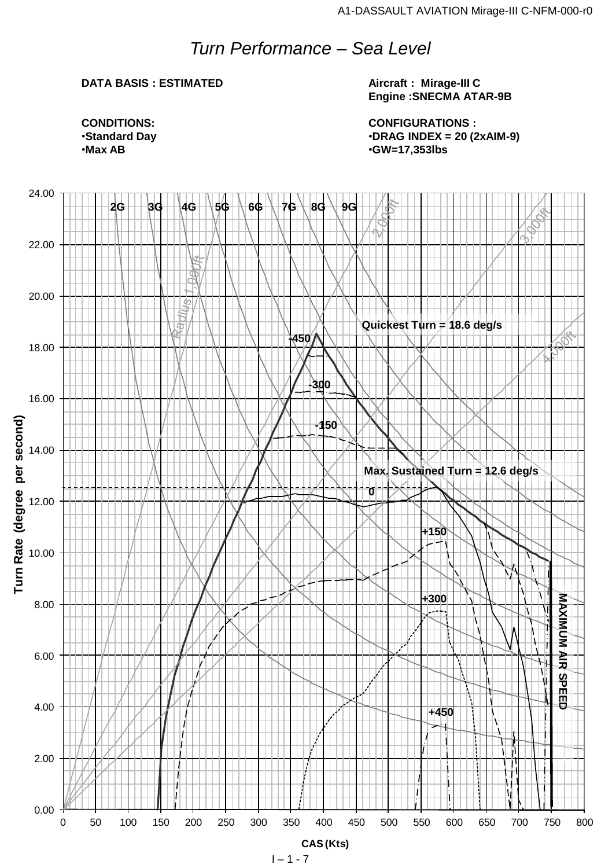## *Turn Performance – Sea Level*

#### **DATA BASIS : ESTIMATED**

**Aircraft : Mirage-III C Engine :SNECMA ATAR-9B**

**CONFIGURATIONS :** •**DRAG INDEX = 20 (2xAIM-9)** •**GW=17,353lbs**

**CONDITIONS:** •**Standard Day** •**Max AB**

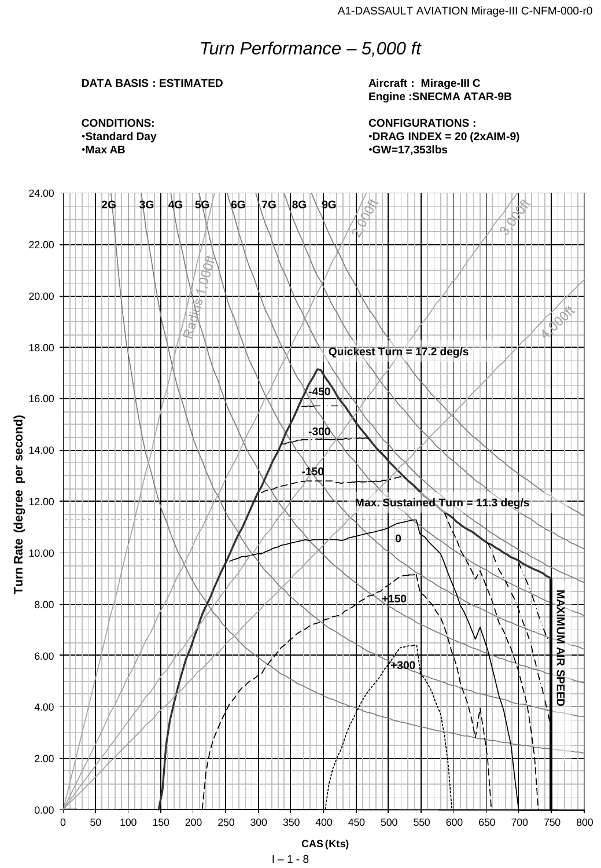## *Turn Performance – 5,000 ft*

#### **DATA BASIS : ESTIMATED**

#### **Aircraft : Mirage-III C Engine :SNECMA ATAR-9B**

**CONFIGURATIONS :** •**DRAG INDEX = 20 (2xAIM-9)** •**GW=17,353lbs**

**CONDITIONS:** •**Standard Day** •**Max AB**

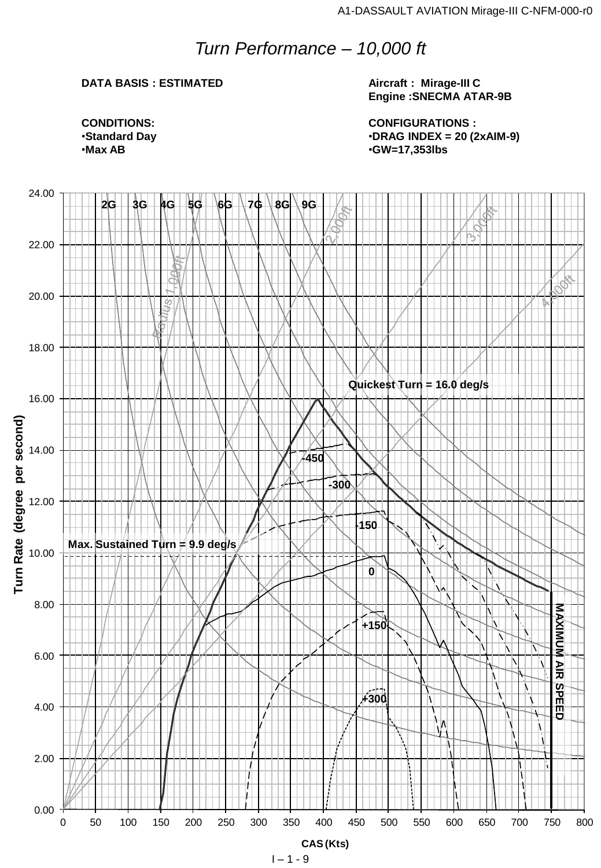### *Turn Performance – 10,000 ft*

#### **DATA BASIS : ESTIMATED**

**Aircraft : Mirage-III C Engine :SNECMA ATAR-9B**

**CONFIGURATIONS :** •**DRAG INDEX = 20 (2xAIM-9)** •**GW=17,353lbs**

**CONDITIONS:** •**Standard Day** •**Max AB**

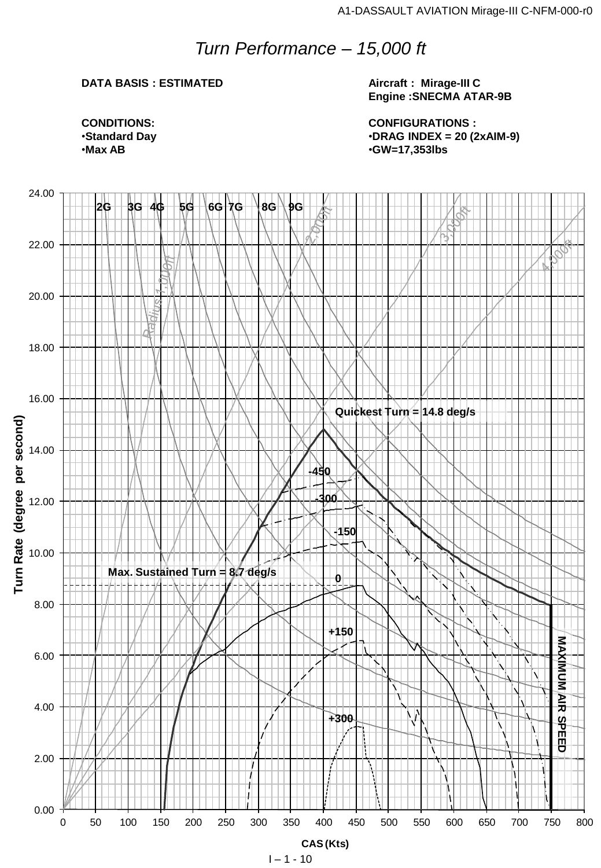## *Turn Performance – 15,000 ft*

#### **DATA BASIS : ESTIMATED**

**Aircraft : Mirage-III C Engine :SNECMA ATAR-9B**

**CONFIGURATIONS :** •**DRAG INDEX = 20 (2xAIM-9)** •**GW=17,353lbs**

**CONDITIONS:** •**Standard Day** •**Max AB**

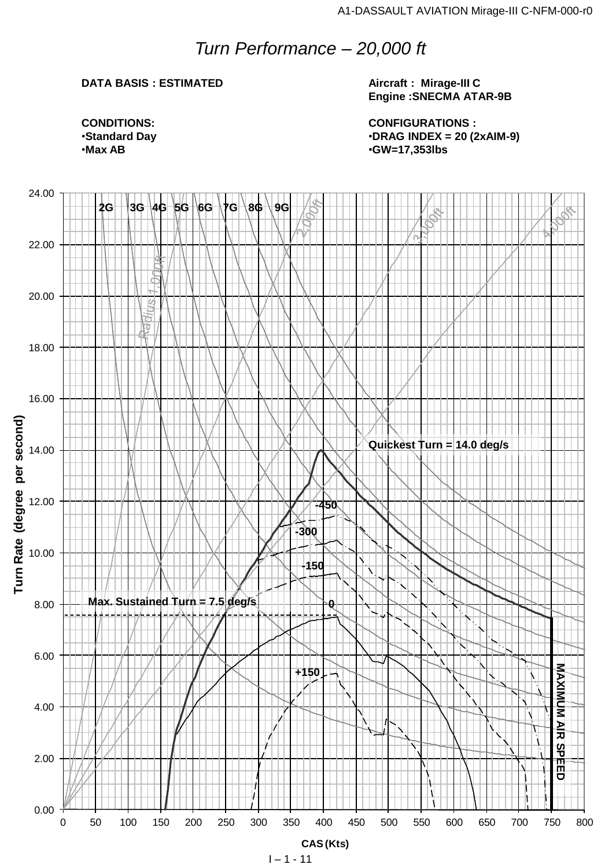## *Turn Performance – 20,000 ft*

#### **DATA BASIS : ESTIMATED**

**Aircraft : Mirage-III C Engine :SNECMA ATAR-9B**

**CONFIGURATIONS :** •**DRAG INDEX = 20 (2xAIM-9)** •**GW=17,353lbs**

**CONDITIONS:** •**Standard Day** •**Max AB**

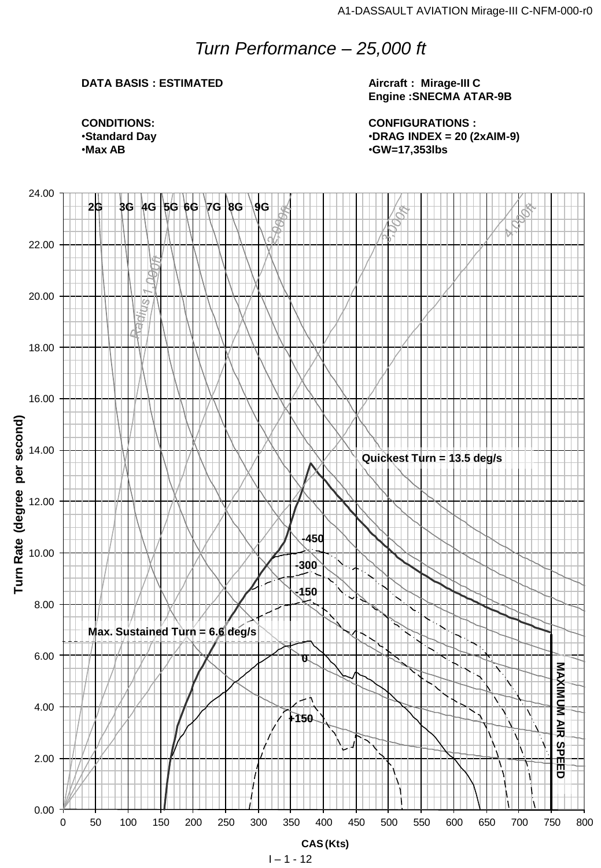### *Turn Performance – 25,000 ft*

#### **DATA BASIS : ESTIMATED**

**Aircraft : Mirage-III C Engine :SNECMA ATAR-9B**

**CONFIGURATIONS :** •**DRAG INDEX = 20 (2xAIM-9)** •**GW=17,353lbs**

**CONDITIONS:** •**Standard Day** •**Max AB**

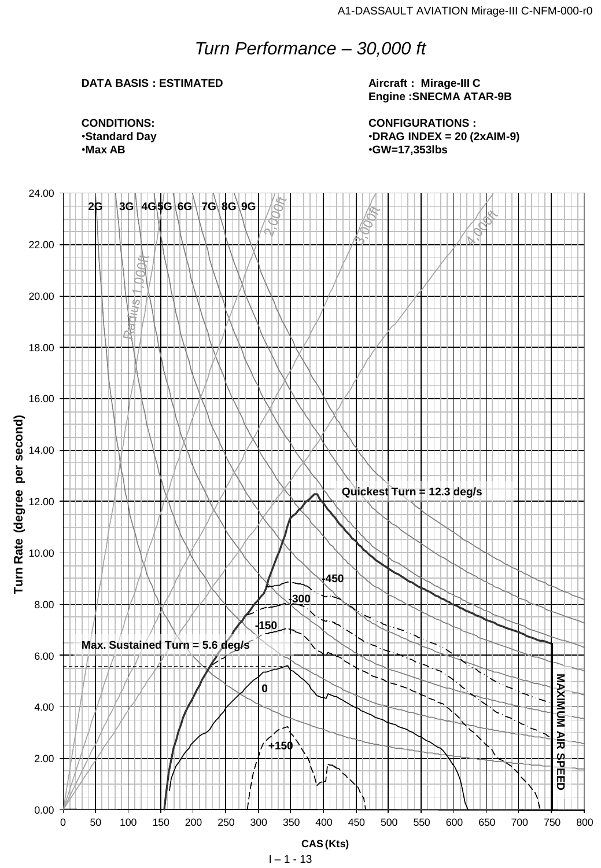## *Turn Performance – 30,000 ft*

#### **DATA BASIS : ESTIMATED**

**Aircraft : Mirage-III C Engine :SNECMA ATAR-9B**

**CONFIGURATIONS :** •**DRAG INDEX = 20 (2xAIM-9)** •**GW=17,353lbs**

**CONDITIONS:** •**Standard Day** •**Max AB**

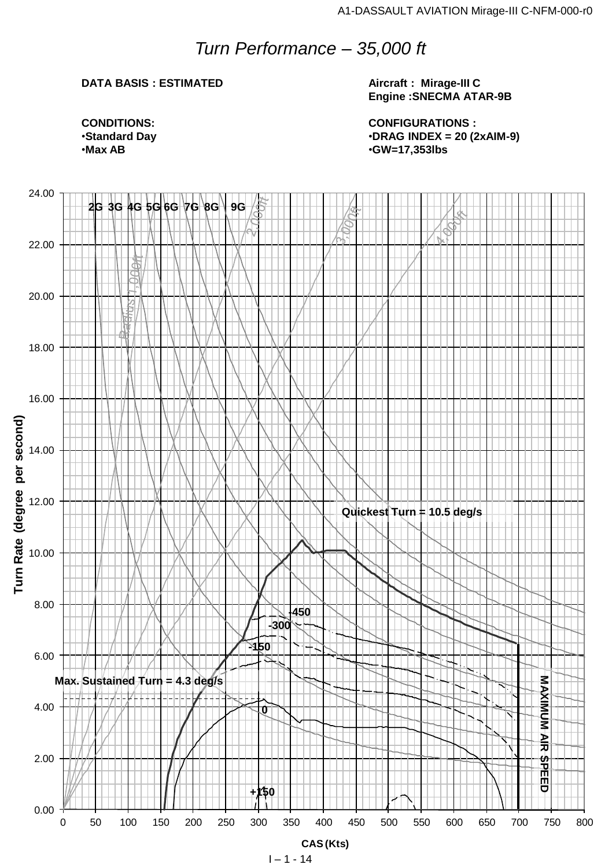## *Turn Performance – 35,000 ft*

#### **DATA BASIS : ESTIMATED**

**Aircraft : Mirage-III C Engine :SNECMA ATAR-9B**

**CONFIGURATIONS :** •**DRAG INDEX = 20 (2xAIM-9)** •**GW=17,353lbs**

**CONDITIONS:** •**Standard Day** •**Max AB**

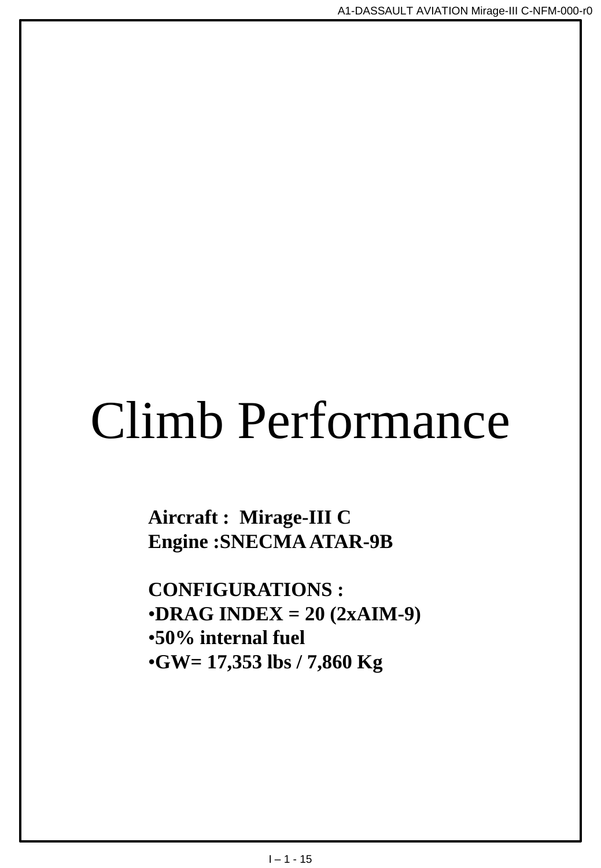# Climb Performance

**Aircraft : Mirage-III C Engine :SNECMA ATAR-9B**

**CONFIGURATIONS :** •**DRAG INDEX = 20 (2xAIM-9)** •**50% internal fuel** •**GW= 17,353 lbs / 7,860 Kg**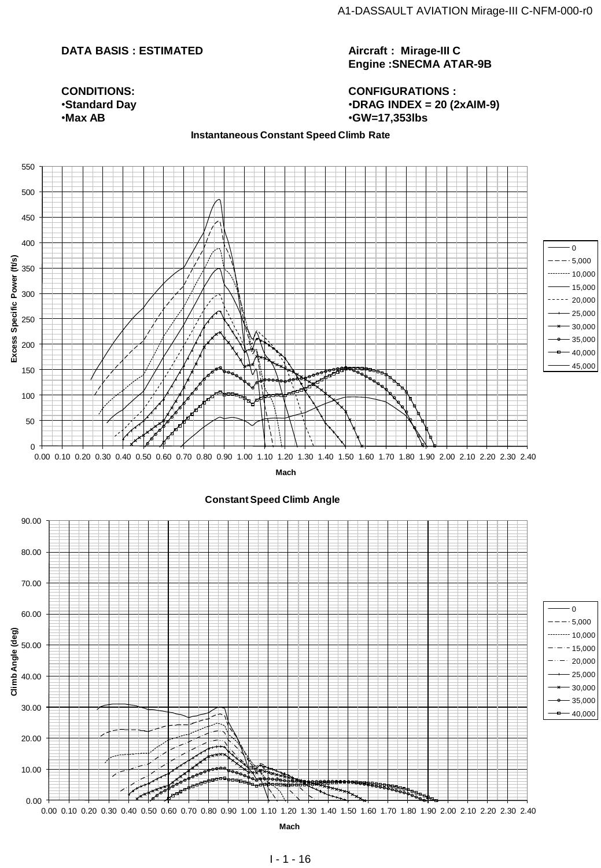#### **DATA BASIS : ESTIMATED**

**Aircraft : Mirage-III C Engine :SNECMA ATAR-9B**

**CONFIGURATIONS :** •**DRAG INDEX = 20 (2xAIM-9)** •**GW=17,353lbs**

#### **CONDITIONS:** •**Standard Day** •**Max AB**

#### **Instantaneous Constant Speed Climb Rate**

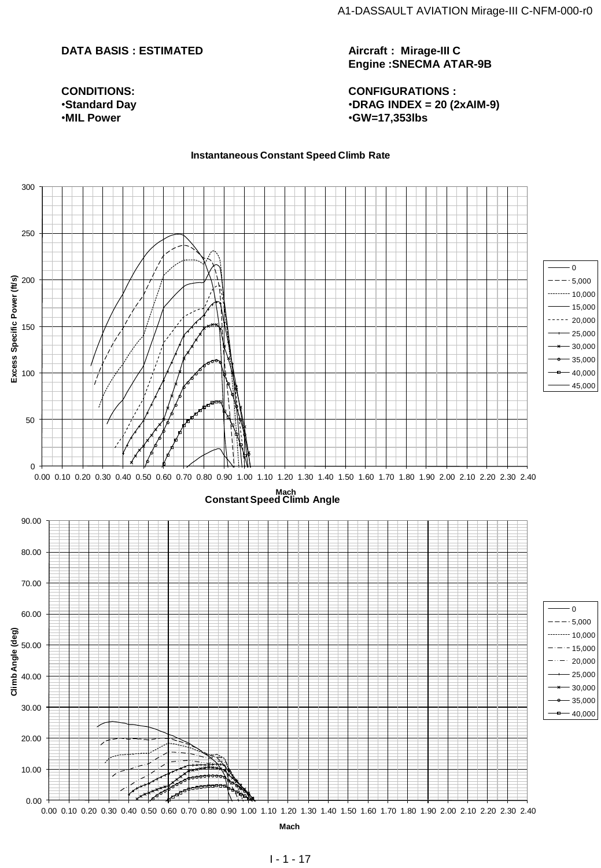#### **DATA BASIS : ESTIMATED**

**CONDITIONS:** •**Standard Day** •**MIL Power**

**Aircraft : Mirage-III C Engine :SNECMA ATAR-9B**

**CONFIGURATIONS :** •**DRAG INDEX = 20 (2xAIM-9)** •**GW=17,353lbs**

#### **Instantaneous Constant Speed Climb Rate**

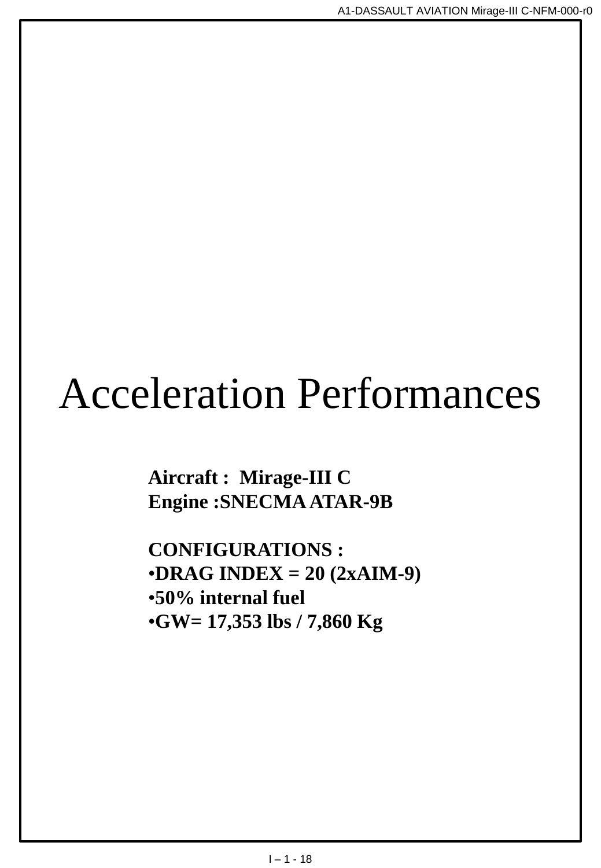## Acceleration Performances

**Aircraft : Mirage-III C Engine :SNECMA ATAR-9B**

**CONFIGURATIONS :** •**DRAG INDEX = 20 (2xAIM-9)** •**50% internal fuel** •**GW= 17,353 lbs / 7,860 Kg**